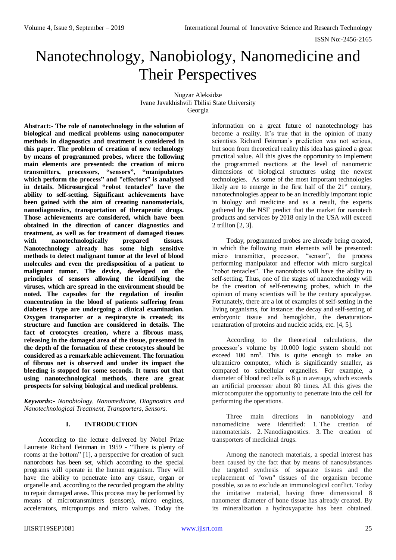# Nanotechnology, Nanobiology, Nanomedicine and Their Perspectives

Nugzar Aleksidze Ivane Javakhishvili Tbilisi State University Georgia

**Abstract:- The role of nanotechnology in the solution of biological and medical problems using nanocomputer methods in diagnostics and treatment is considered in this paper. The problem of creation of new technology by means of programmed probes, where the following main elements are presented: the creation of micro transmitters, processors, "sensors", "manipulators which perform the process" and "effectors" is analysed in details. Microsurgical "robot tentacles" have the ability to self-setting. Significant achievements have been gained with the aim of creating nanomaterials, nanodiagnostics, transportation of therapeutic drugs. Those achievements are considered, which have been obtained in the direction of cancer diagnostics and treatment, as well as for treatment of damaged tissues with nanotechnologically prepared tissues. Nanotechnology already has some high sensitive methods to detect malignant tumor at the level of blood molecules and even the predisposition of a patient to malignant tumor. The device, developed on the principles of sensors allowing the identifying the viruses, which are spread in the environment should be noted. The capsules for the regulation of insulin concentration in the blood of patients suffering from diabetes I type are undergoing a clinical examination. Oxygen transporter or a respirocyte is created; its structure and function are considered in details. The fact of crotocytes creation, where a fibrous mass, releasing in the damaged area of the tissue, presented in the depth of the formation of these crotocytes should be considered as a remarkable achievement. The formation of fibrous net is observed and under its impact the bleeding is stopped for some seconds. It turns out that using nanotechnological methods, there are great prospects for solving biological and medical problems.** 

*Keywords:- Nanobiology, Nanomedicine, Diagnostics and Nanotechnological Treatment, Transporters, Sensors.*

# **I. INTRODUCTION**

According to the lecture delivered by Nobel Prize Laureate Richard Feinman in 1959 - "There is plenty of rooms at the bottom" [1], a perspective for creation of such nanorobots has been set, which according to the special programs will operate in the human organism. They will have the ability to penetrate into any tissue, organ or organelle and, according to the recorded program the ability to repair damaged areas. This process may be performed by means of microtransmitters (sensors), micro engines, accelerators, micropumps and micro valves. Today the

information on a great future of nanotechnology has become a reality. It's true that in the opinion of many scientists Richard Feinman's prediction was not serious, but soon from theoretical reality this idea has gained a great practical value. All this gives the opportunity to implement the programmed reactions at the level of nanometric dimensions of biological structures using the newest technologies. As some of the most important technologies likely are to emerge in the first half of the  $21<sup>st</sup>$  century, nanotechnologies appear to be an incredibly important topic in biology and medicine and as a result, the experts gathered by the NSF predict that the market for nanotech products and services by 2018 only in the USA will exceed 2 trillion [2, 3].

Today, programmed probes are already being created, in which the following main elements will be presented: micro transmitter, processor, "sensor", the process performing manipulator and effector with micro surgical "robot tentacles". The nanorobots will have the ability to self-setting. Thus, one of the stages of nanotechnology will be the creation of self-renewing probes, which in the opinion of many scientists will be the century apocalypse. Fortunately, there are a lot of examples of self-setting in the living organisms, for instance: the decay and self-setting of embryonic tissue and hemoglobin, the denaturationrenaturation of proteins and nucleic acids, etc. [4, 5].

According to the theoretical calculations, the processor's volume by 10.000 logic system should not exceed  $100 \text{ nm}^3$ . This is quite enough to make an ultramicro computer, which is significantly smaller, as compared to subcellular organelles. For example, a diameter of blood red cells is 8 μ in average, which exceeds an artificial processor about 80 times. All this gives the microcomputer the opportunity to penetrate into the cell for performing the operations.

Three main directions in nanobiology and nanomedicine were identified: 1. The creation of nanomaterials. 2. Nanodiagnostics. 3. The creation of transporters of medicinal drugs.

Among the nanotech materials, a special interest has been caused by the fact that by means of nanosubstances the targeted synthesis of separate tissues and the replacement of "own" tissues of the organism become possible, so as to exclude an immunological conflict. Today the imitative material, having three dimensional 8 nanometer diameter of bone tissue has already created. By its mineralization a hydroxyapatite has been obtained.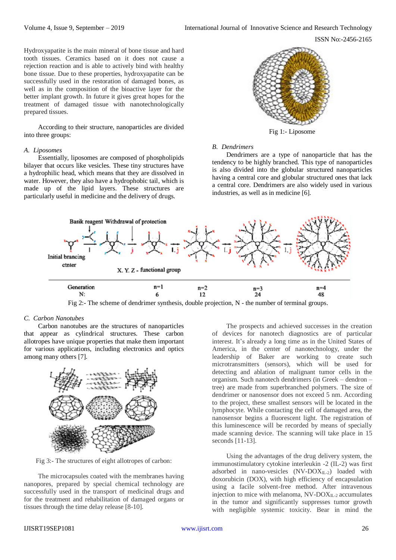ISSN No:-2456-2165

Hydroxyapatite is the main mineral of bone tissue and hard tooth tissues. Ceramics based on it does not cause a rejection reaction and is able to actively bind with healthy bone tissue. Due to these properties, hydroxyapatite can be successfully used in the restoration of damaged bones, as well as in the composition of the bioactive layer for the better implant growth. In future it gives great hopes for the treatment of damaged tissue with nanotechnologically prepared tissues.

According to their structure, nanoparticles are divided into three groups:

#### *A. Liposomes*

Essentially, liposomes are composed of phospholipids bilayer that occurs like vesicles. These tiny structures have a hydrophilic head, which means that they are dissolved in water. However, they also have a hydrophobic tail, which is made up of the lipid layers. These structures are particularly useful in medicine and the delivery of drugs.



# *B. Dendrimers*

Dendrimers are a type of nanoparticle that has the tendency to be highly branched. This type of nanoparticles is also divided into the globular structured nanoparticles having a central core and globular structured ones that lack a central core. Dendrimers are also widely used in various industries, as well as in medicine [6].



Fig 2:- The scheme of dendrimer synthesis, double projection, N - the number of terminal groups.

# *C. [Carbon Nanotubes](https://www.microscopemaster.com/carbon-nanotubes.html)*

Carbon nanotubes are the structures of nanoparticles that appear as cylindrical structures. These carbon allotropes have unique properties that make them important for various applications, including electronics and optics among many others [7].



Fig 3:- The structures of eight allotropes of carbon:

The microcapsules coated with the membranes having nanopores, prepared by special chemical technology are successfully used in the transport of medicinal drugs and for the treatment and rehabilitation of damaged organs or tissues through the time delay release [8-10].

The prospects and achieved successes in the creation of devices for nanotech diagnostics are of particular interest. It's already a long time as in the United States of America, in the center of nanotechnology, under the leadership of Baker are working to create such microtransmitters (sensors), which will be used for detecting and ablation of malignant tumor cells in the organism. Such nanotech dendrimers (in Greek – dendron – tree) are made from superbranched polymers. The size of dendrimer or nanosensor does not exceed 5 nm. According to the project, these smallest sensors will be located in the lymphocyte. While contacting the cell of damaged area, the nanosensor begins a fluorescent light. The registration of this luminescence will be recorded by means of specially made scanning device. The scanning will take place in 15 seconds [11-13].

Using the advantages of the drug delivery system, the immunostimulatory cytokine interleukin -2 (IL-2) was first adsorbed in nano-vesicles  $(NV-DOX_{IL-2})$  loaded with doxorubicin (DOX), with high efficiency of encapsulation using a facile solvent-free method. After intravenous injection to mice with melanoma,  $NV-DOX_{IL-2}$  accumulates in the tumor and significantly suppresses tumor growth with negligible systemic toxicity. Bear in mind the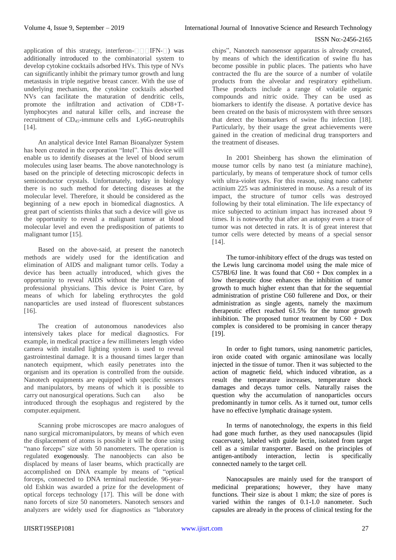application of this strategy, interferon- $\Box$   $\Box$  FN- $\Box$ ) was additionally introduced to the combinatorial system to develop cytokine cocktails adsorbed HVs. This type of NVs can significantly inhibit the primary tumor growth and lung metastasis in triple negative breast cancer. With the use of underlying mechanism, the cytokine cocktails adsorbed NVs can facilitate the maturation of dendritic cells, promote the infiltration and activation of CD8+Tlymphocytes and natural killer cells, and increase the recruitment of CD45-immune cells and Ly6G-neutrophils [14].

An analytical device Intel Raman Bioanalyzer System has been created in the corporation "Intel". This device will enable us to identify diseases at the level of blood serum molecules using laser beams. The above nanotechnology is based on the principle of detecting microscopic defects in semiconductor crystals. Unfortunately, today in biology there is no such method for detecting diseases at the molecular level. Therefore, it should be considered as the beginning of a new epoch in biomedical diagnostics. A great part of scientists thinks that such a device will give us the opportunity to reveal a malignant tumor at blood molecular level and even the predisposition of patients to malignant tumor [15].

Based on the above-said, at present the nanotech methods are widely used for the identification and elimination of AIDS and malignant tumor cells. Today a device has been actually introduced, which gives the opportunity to reveal AIDS without the intervention of professional physicians. This device is Point Care, by means of which for labeling erythrocytes the gold nanoparticles are used instead of fluorescent substances [16].

The creation of autonomous nanodevices also intensively takes place for medical diagnostics. For example, in medical practice a few millimeters length video camera with installed lighting system is used to reveal gastrointestinal damage. It is a thousand times larger than nanotech equipment, which easily penetrates into the organism and its operation is controlled from the outside. Nanotech equipments are equipped with specific sensors and manipulators, by means of which it is possible to carry out nanosurgical operations. Such can also be introduced through the esophagus and registered by the computer.equipment.

Scanning probe microscopes are macro analogues of nano surgical micromanipulators, by means of which even the displacement of atoms is possible it will be done using "nano forceps" size with 50 nanometers. The operation is regulated exogenously. The nanoobjects can also be displaced by means of laser beams, which practically are accomplished on DNA example by means of "optical forceps, connected to DNA terminal nucleotide. 96-yearold Eshkin was awarded a prize for the development of optical forceps technology [17]. This will be done with nano forcets of size 50 nanometers. Nanotech sensors and analyzers are widely used for diagnostics as "laboratory

chips", Nanotech nanosensor apparatus is already created, by means of which the identification of swine flu has become possible in public places. The patients who have contracted the flu are the source of a number of volatile products from the alveolar and respiratory epithelium. These products include a range of volatile organic compounds and nitric oxide. They can be used as biomarkers to identify the disease. A portative device has been created on the basis of microsystem with three sensors that detect the biomarkers of swine flu infection [18]. Particularly, by their usage the great achievements were gained in the creation of medicinal drug transporters and the treatment of diseases.

In 2001 Sheinberg has shown the elimination of mouse tumor cells by nano test (a miniature machine), particularly, by means of temperature shock of tumor cells with ultra-violet rays. For this reason, using nano catheter actinium 225 was administered in mouse. As a result of its impact, the structure of tumor cells was destroyed following by their total elimination. The life expectancy of mice subjected to actinium impact has increased about 9 times. It is noteworthy that after an autopsy even a trace of tumor was not detected in rats. It is of great interest that tumor cells were detected by means of a special sensor [14].

The tumor-inhibitory effect of the drugs was tested on the Lewis lung carcinoma model using the male mice of C57Bl/6J line. It was found that  $C60 +$  Dox complex in a low therapeutic dose enhances the inhibition of tumor growth to much higher extent than that for the sequential administration of pristine C60 fullerene and Dox, or their administration as single agents, namely the maximum therapeutic effect reached 61.5% for the tumor growth inhibition. The proposed tumor treatment by  $C60 + Dox$ complex is considered to be promising in cancer therapy [19].

In order to fight tumors, using nanometric particles, iron oxide coated with organic aminosilane was locally injected in the tissue of tumor. Then it was subjected to the action of magnetic field, which induced vibration, as a result the temperature increases, temperature shock damages and decays tumor cells. Naturally raises the question why the accumulation of nanoparticles occurs predominantly in tumor cells. As it turned out, tumor cells have no effective lymphatic drainage system.

In terms of nanotechnology, the experts in this field had gone much further, as they used nanocapsules (lipid coacervate), labeled with guide lectin, isolated from target cell as a similar transporter. Based on the principles of antigen-antibody interaction, lectin is specifically connected namely to the target cell.

Nanocapsules are mainly used for the transport of medicinal preparations; however, they have many functions. Their size is about 1 mkm; the size of pores is varied within the ranges of 0.1-1.0 nanometer. Such capsules are already in the process of clinical testing for the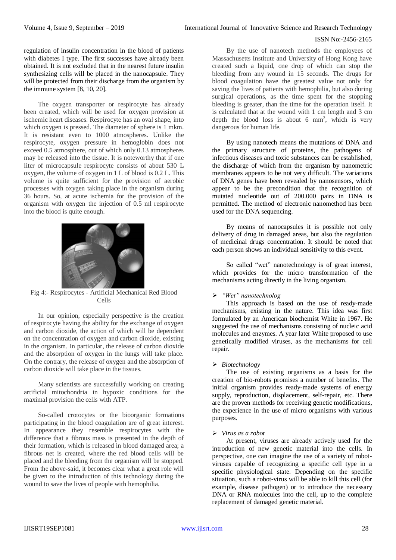regulation of insulin concentration in the blood of patients with diabetes I type. The first successes have already been obtained. It is not excluded that in the nearest future insulin synthesizing cells will be placed in the nanocapsule. They will be protected from their discharge from the organism by the immune system [8, 10, 20].

The oxygen transporter or respirocyte has already been created, which will be used for oxygen provision at ischemic heart diseases. Respirocyte has an oval shape, into which oxygen is pressed. The diameter of sphere is 1 mkm. It is resistant even to 1000 atmospheres. Unlike the respirocyte, oxygen pressure in hemoglobin does not exceed 0.5 atmosphere, out of which only 0.13 atmospheres may be released into the tissue. It is noteworthy that if one liter of microcapsule respirocyte consists of about 530 L oxygen, the volume of oxygen in 1 L of blood is 0.2 L. This volume is quite sufficient for the provision of aerobic processes with oxygen taking place in the organism during 36 hours. So, at acute ischemia for the provision of the organism with oxygen the injection of 0.5 ml respirocyte into the blood is quite enough.



Fig 4:- Respirocytes - Artificial Mechanical Red Blood Cells

In our opinion, especially perspective is the creation of respirocyte having the ability for the exchange of oxygen and carbon dioxide, the action of which will be dependent on the concentration of oxygen and carbon dioxide, existing in the organism. In particular, the release of carbon dioxide and the absorption of oxygen in the lungs will take place. On the contrary, the release of oxygen and the absorption of carbon dioxide will take place in the tissues.

Many scientists are successfully working on creating artificial mitochondria in hypoxic conditions for the maximal provision the cells with ATP.

So-called crotocytes or the bioorganic formations participating in the blood coagulation are of great interest. In appearance they resemble respirocytes with the difference that a fibrous mass is presented in the depth of their formation, which is released in blood damaged area; a fibrous net is created, where the red blood cells will be placed and the bleeding from the organism will be stopped. From the above-said, it becomes clear what a great role will be given to the introduction of this technology during the wound to save the lives of people with hemophilia.

By the use of nanotech methods the employees of Massachusetts Institute and University of Hong Kong have created such a liquid, one drop of which can stop the bleeding from any wound in 15 seconds. The drugs for blood coagulation have the greatest value not only for saving the lives of patients with hemophilia, but also during surgical operations, as the time spent for the stopping bleeding is greater, than the time for the operation itself. It is calculated that at the wound with 1 cm length and 3 cm depth the blood loss is about 6  $mm<sup>3</sup>$ , which is very dangerous for human life.

By using nanotech means the mutations of DNA and the primary structure of proteins, the pathogens of infectious diseases and toxic substances can be established, the discharge of which from the organism by nanometric membranes appears to be not very difficult. The variations of DNA genes have been revealed by nanosensors, which appear to be the precondition that the recognition of mutated nucleotide out of 200.000 pairs in DNA is permitted. The method of electronic nanomethod has been used for the DNA sequencing.

By means of nanocapsules it is possible not only delivery of drug in damaged areas, but also the regulation of medicinal drugs concentration. It should be noted that each person shows an individual sensitivity to this event.

So called "wet" nanotechnology is of great interest, which provides for the micro transformation of the mechanisms acting directly in the living organism.

# *"Wet" nanotechnolog*

This approach is based on the use of ready-made mechanisms, existing in the nature. This idea was first formulated by an American biochemist White in 1967. He suggested the use of mechanisms consisting of nucleic acid molecules and enzymes. A year later White proposed to use genetically modified viruses, as the mechanisms for cell repair.

#### *Biotechnology*

The use of existing organisms as a basis for the creation of bio-robots promises a number of benefits. The initial organism provides ready-made systems of energy supply, reproduction, displacement, self-repair, etc. There are the proven methods for receiving genetic modifications, the experience in the use of micro organisms with various purposes.

#### *Virus as a robot*

At present, viruses are already actively used for the introduction of new genetic material into the cells. In perspective, one can imagine the use of a variety of robotviruses capable of recognizing a specific cell type in a specific physiological state. Depending on the specific situation, such a robot-virus will be able to kill this cell (for example, disease pathogen) or to introduce the necessary DNA or RNA molecules into the cell, up to the complete replacement of damaged genetic material.